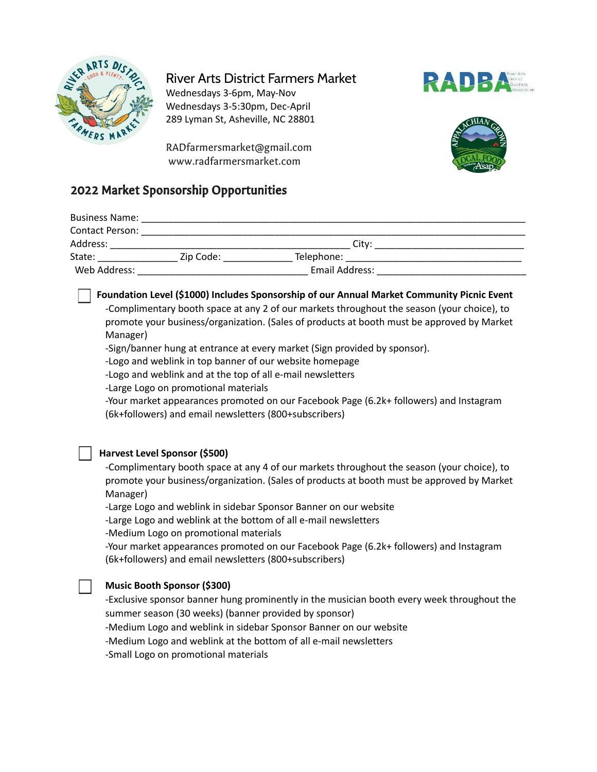

# River Arts District Farmers Market

Wednesdays 3-6pm, May-Nov Wednesdays 3-5:30pm, Dec-April 289 Lyman St, Asheville, NC 28801







# 2022 Market Sponsorship Opportunities

| <b>Business Name:</b>  |           |                   |  |
|------------------------|-----------|-------------------|--|
| <b>Contact Person:</b> |           |                   |  |
| Address:               |           | Citv <sup>.</sup> |  |
| State:                 | Zip Code: | Telephone:        |  |
| Web Address:           |           | Email Address:    |  |

## **Foundation Level (\$1000) Includes Sponsorship of our Annual Market Community Picnic Event**

-Complimentary booth space at any 2 of our markets throughout the season (your choice), to promote your business/organization. (Sales of products at booth must be approved by Market Manager)

-Sign/banner hung at entrance at every market (Sign provided by sponsor).

-Logo and weblink in top banner of our website homepage

-Logo and weblink and at the top of all e-mail newsletters

-Large Logo on promotional materials

-Your market appearances promoted on our Facebook Page (6.2k+ followers) and Instagram (6k+followers) and email newsletters (800+subscribers)

## **Harvest Level Sponsor (\$500)**

-Complimentary booth space at any 4 of our markets throughout the season (your choice), to promote your business/organization. (Sales of products at booth must be approved by Market Manager)

-Large Logo and weblink in sidebar Sponsor Banner on our website

-Large Logo and weblink at the bottom of all e-mail newsletters

-Medium Logo on promotional materials

-Your market appearances promoted on our Facebook Page (6.2k+ followers) and Instagram (6k+followers) and email newsletters (800+subscribers)

### **Music Booth Sponsor (\$300)**

-Exclusive sponsor banner hung prominently in the musician booth every week throughout the summer season (30 weeks) (banner provided by sponsor) -Medium Logo and weblink in sidebar Sponsor Banner on our website -Medium Logo and weblink at the bottom of all e-mail newsletters

-Small Logo on promotional materials